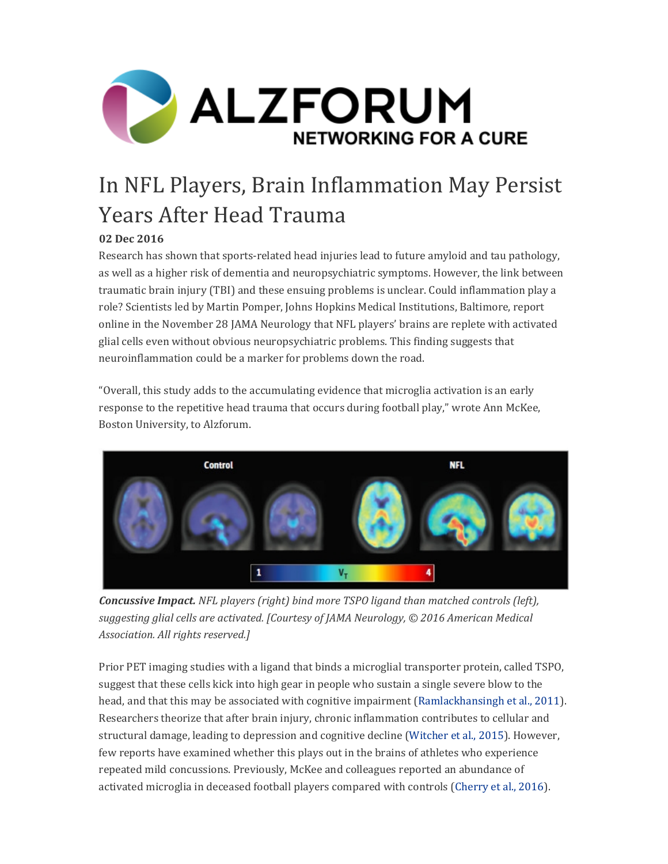

# In NFL Players, Brain Inflammation May Persist Years After Head Trauma

### **02 Dec 2016**

Research has shown that sports-related head injuries lead to future amyloid and tau pathology, as well as a higher risk of dementia and neuropsychiatric symptoms. However, the link between traumatic brain injury (TBI) and these ensuing problems is unclear. Could inflammation play a role? Scientists led by Martin Pomper, Johns Hopkins Medical Institutions, Baltimore, report online in the November 28 JAMA Neurology that NFL players' brains are replete with activated glial cells even without obvious neuropsychiatric problems. This finding suggests that neuroinflammation could be a marker for problems down the road.

"Overall, this study adds to the accumulating evidence that microglia activation is an early response to the repetitive head trauma that occurs during football play," wrote Ann McKee, Boston University, to Alzforum.



*Concussive Impact. NFL players (right) bind more TSPO ligand than matched controls (left), suggesting glial cells are activated. [Courtesy of JAMA Neurology, © 2016 American Medical Association. All rights reserved.]*

Prior PET imaging studies with a ligand that binds a microglial transporter protein, called TSPO, suggest that these cells kick into high gear in people who sustain a single severe blow to the head, and that this may be associated with cognitive impairment (Ramlackhansingh et al., 2011). Researchers theorize that after brain injury, chronic inflammation contributes to cellular and structural damage, leading to depression and cognitive decline (Witcher et al., 2015). However, few reports have examined whether this plays out in the brains of athletes who experience repeated mild concussions. Previously, McKee and colleagues reported an abundance of activated microglia in deceased football players compared with controls (Cherry et al., 2016).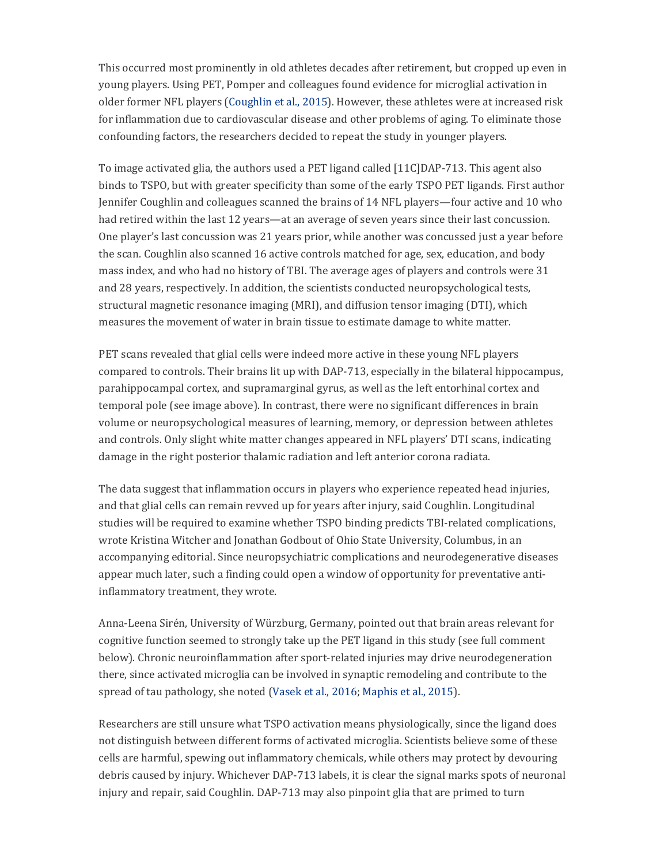This occurred most prominently in old athletes decades after retirement, but cropped up even in young players. Using PET, Pomper and colleagues found evidence for microglial activation in older former NFL players (Coughlin et al., 2015). However, these athletes were at increased risk for inflammation due to cardiovascular disease and other problems of aging. To eliminate those confounding factors, the researchers decided to repeat the study in younger players.

To image activated glia, the authors used a PET ligand called [11C]DAP-713. This agent also binds to TSPO, but with greater specificity than some of the early TSPO PET ligands. First author Jennifer Coughlin and colleagues scanned the brains of 14 NFL players—four active and 10 who had retired within the last 12 years—at an average of seven years since their last concussion. One player's last concussion was 21 years prior, while another was concussed just a year before the scan. Coughlin also scanned 16 active controls matched for age, sex, education, and body mass index, and who had no history of TBI. The average ages of players and controls were 31 and 28 years, respectively. In addition, the scientists conducted neuropsychological tests, structural magnetic resonance imaging  $(MRI)$ , and diffusion tensor imaging  $(DTI)$ , which measures the movement of water in brain tissue to estimate damage to white matter.

PET scans revealed that glial cells were indeed more active in these young NFL players compared to controls. Their brains lit up with DAP-713, especially in the bilateral hippocampus, parahippocampal cortex, and supramarginal gyrus, as well as the left entorhinal cortex and temporal pole (see image above). In contrast, there were no significant differences in brain volume or neuropsychological measures of learning, memory, or depression between athletes and controls. Only slight white matter changes appeared in NFL players' DTI scans, indicating damage in the right posterior thalamic radiation and left anterior corona radiata.

The data suggest that inflammation occurs in players who experience repeated head injuries, and that glial cells can remain revved up for years after injury, said Coughlin. Longitudinal studies will be required to examine whether TSPO binding predicts TBI-related complications, wrote Kristina Witcher and Jonathan Godbout of Ohio State University, Columbus, in an accompanying editorial. Since neuropsychiatric complications and neurodegenerative diseases appear much later, such a finding could open a window of opportunity for preventative antiinflammatory treatment, they wrote.

Anna-Leena Sirén, University of Würzburg, Germany, pointed out that brain areas relevant for cognitive function seemed to strongly take up the PET ligand in this study (see full comment below). Chronic neuroinflammation after sport-related injuries may drive neurodegeneration there, since activated microglia can be involved in synaptic remodeling and contribute to the spread of tau pathology, she noted (Vasek et al., 2016; Maphis et al., 2015).

Researchers are still unsure what TSPO activation means physiologically, since the ligand does not distinguish between different forms of activated microglia. Scientists believe some of these cells are harmful, spewing out inflammatory chemicals, while others may protect by devouring debris caused by injury. Whichever DAP-713 labels, it is clear the signal marks spots of neuronal injury and repair, said Coughlin. DAP-713 may also pinpoint glia that are primed to turn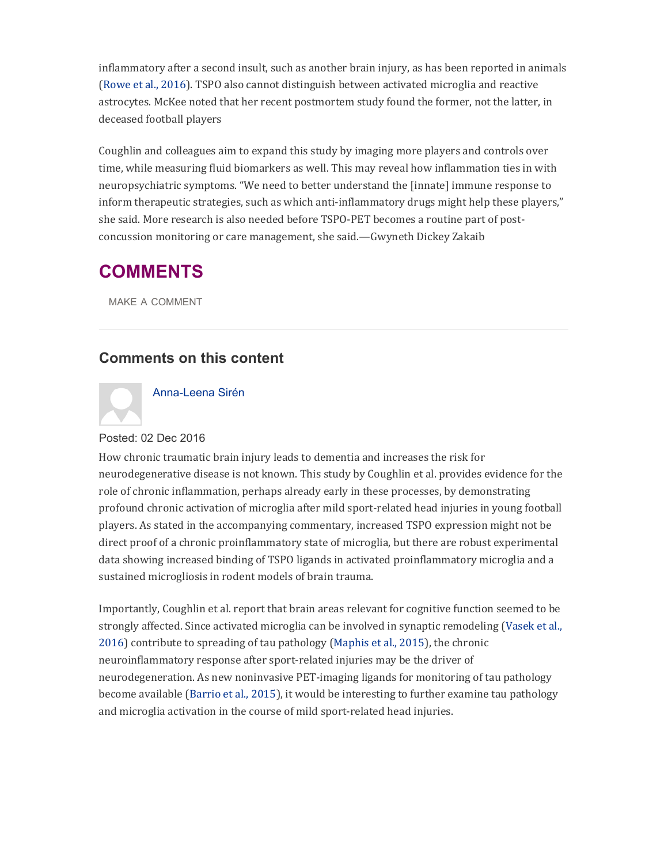inflammatory after a second insult, such as another brain injury, as has been reported in animals (Rowe et al., 2016). TSPO also cannot distinguish between activated microglia and reactive astrocytes. McKee noted that her recent postmortem study found the former, not the latter, in deceased football players

Coughlin and colleagues aim to expand this study by imaging more players and controls over time, while measuring fluid biomarkers as well. This may reveal how inflammation ties in with neuropsychiatric symptoms. "We need to better understand the [innate] immune response to inform therapeutic strategies, such as which anti-inflammatory drugs might help these players," she said. More research is also needed before TSPO-PET becomes a routine part of postconcussion monitoring or care management, she said.—Gwyneth Dickey Zakaib

# **COMMENTS**

MAKE A COMMENT

### **Comments on this content**



#### Anna-Leena Sirén

#### Posted: 02 Dec 2016

How chronic traumatic brain injury leads to dementia and increases the risk for neurodegenerative disease is not known. This study by Coughlin et al. provides evidence for the role of chronic inflammation, perhaps already early in these processes, by demonstrating profound chronic activation of microglia after mild sport-related head injuries in young football players. As stated in the accompanying commentary, increased TSPO expression might not be direct proof of a chronic proinflammatory state of microglia, but there are robust experimental data showing increased binding of TSPO ligands in activated proinflammatory microglia and a sustained microgliosis in rodent models of brain trauma.

Importantly, Coughlin et al. report that brain areas relevant for cognitive function seemed to be strongly affected. Since activated microglia can be involved in synaptic remodeling (Vasek et al., 2016) contribute to spreading of tau pathology (Maphis et al., 2015), the chronic neuroinflammatory response after sport-related injuries may be the driver of neurodegeneration. As new noninvasive PET-imaging ligands for monitoring of tau pathology become available (Barrio et al., 2015), it would be interesting to further examine tau pathology and microglia activation in the course of mild sport-related head injuries.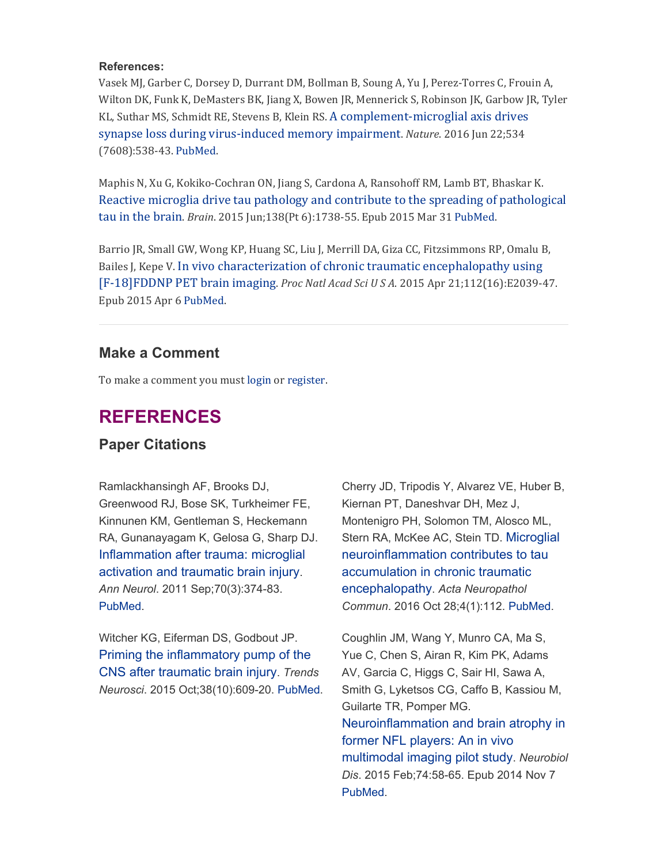#### **References:**

Vasek MJ, Garber C, Dorsey D, Durrant DM, Bollman B, Soung A, Yu J, Perez-Torres C, Frouin A, Wilton DK, Funk K, DeMasters BK, Jiang X, Bowen JR, Mennerick S, Robinson JK, Garbow JR, Tyler KL, Suthar MS, Schmidt RE, Stevens B, Klein RS. A complement-microglial axis drives synapse loss during virus-induced memory impairment. *Nature*. 2016 Jun 22:534 (7608):538-43. PubMed.

Maphis N, Xu G, Kokiko-Cochran ON, Jiang S, Cardona A, Ransohoff RM, Lamb BT, Bhaskar K. Reactive microglia drive tau pathology and contribute to the spreading of pathological tau in the brain. *Brain*. 2015 Jun;138(Pt 6):1738-55. Epub 2015 Mar 31 PubMed.

Barrio JR, Small GW, Wong KP, Huang SC, Liu J, Merrill DA, Giza CC, Fitzsimmons RP, Omalu B, Bailes I, Kepe V. In vivo characterization of chronic traumatic encephalopathy using [F18]FDDNP PET brain imaging. *Proc Natl Acad Sci U S A*. 2015 Apr 21;112(16):E203947. Epub 2015 Apr 6 PubMed.

### **Make a Comment**

To make a comment you must login or register.

# **REFERENCES**

### **Paper Citations**

Ramlackhansingh AF, Brooks DJ, Greenwood RJ, Bose SK, Turkheimer FE, Kinnunen KM, Gentleman S, Heckemann RA, Gunanayagam K, Gelosa G, Sharp DJ. Inflammation after trauma: microglial activation and traumatic brain injury. *Ann Neurol*. 2011 Sep;70(3):374-83. PubMed.

Witcher KG, Eiferman DS, Godbout JP. Priming the inflammatory pump of the CNS after traumatic brain injury. *Trends Neurosci*. 2015 Oct;38(10):609-20. PubMed.

Cherry JD, Tripodis Y, Alvarez VE, Huber B, Kiernan PT, Daneshvar DH, Mez J, Montenigro PH, Solomon TM, Alosco ML, Stern RA, McKee AC, Stein TD. Microglial neuroinflammation contributes to tau accumulation in chronic traumatic encephalopathy. *Acta Neuropathol Commun*. 2016 Oct 28;4(1):112. PubMed.

Coughlin JM, Wang Y, Munro CA, Ma S, Yue C, Chen S, Airan R, Kim PK, Adams AV, Garcia C, Higgs C, Sair HI, Sawa A, Smith G, Lyketsos CG, Caffo B, Kassiou M, Guilarte TR, Pomper MG. Neuroinflammation and brain atrophy in former NFL players: An in vivo multimodal imaging pilot study. *Neurobiol Dis*. 2015 Feb;74:58-65. Epub 2014 Nov 7 PubMed.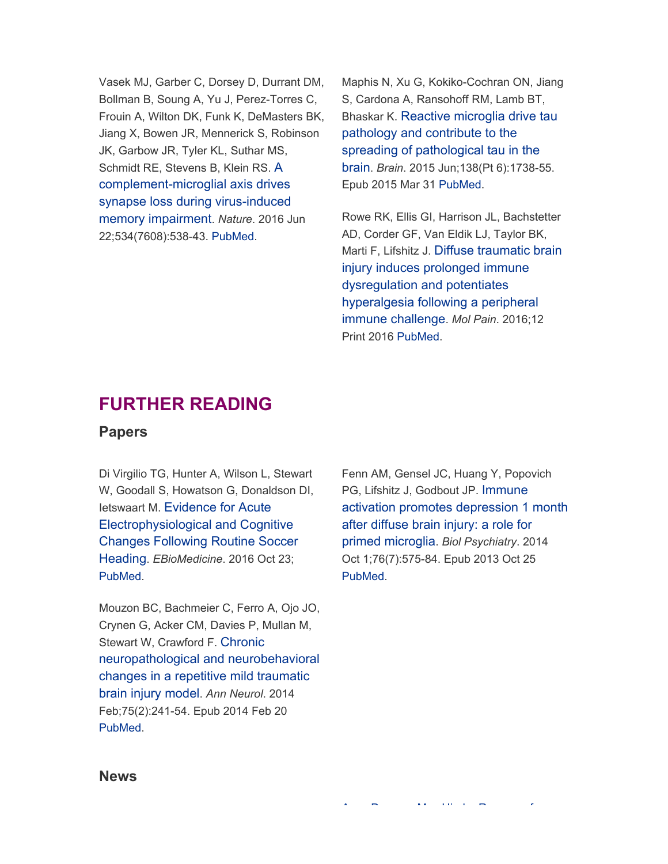Vasek MJ, Garber C, Dorsey D, Durrant DM, Bollman B, Soung A, Yu J, Perez-Torres C, Frouin A, Wilton DK, Funk K, DeMasters BK, Jiang X, Bowen JR, Mennerick S, Robinson JK, Garbow JR, Tyler KL, Suthar MS, Schmidt RE, Stevens B, Klein RS. A complement-microglial axis drives synapse loss during virus-induced memory impairment. *Nature*. 2016 Jun 22;534(7608):538-43. PubMed.

Maphis N, Xu G, Kokiko-Cochran ON, Jiang S, Cardona A, Ransohoff RM, Lamb BT, Bhaskar K. Reactive microglia drive tau pathology and contribute to the spreading of pathological tau in the brain. *Brain*. 2015 Jun;138(Pt 6):1738-55. Epub 2015 Mar 31 PubMed.

Rowe RK, Ellis GI, Harrison JL, Bachstetter AD, Corder GF, Van Eldik LJ, Taylor BK, Marti F, Lifshitz J. Diffuse traumatic brain injury induces prolonged immune dysregulation and potentiates hyperalgesia following a peripheral immune challenge. *Mol Pain*. 2016;12 Print 2016 PubMed.

# **FURTHER READING**

### **Papers**

Di Virgilio TG, Hunter A, Wilson L, Stewart W, Goodall S, Howatson G, Donaldson DI, Ietswaart M. Evidence for Acute Electrophysiological and Cognitive Changes Following Routine Soccer Heading. *EBioMedicine*. 2016 Oct 23; PubMed.

Mouzon BC, Bachmeier C, Ferro A, Ojo JO, Crynen G, Acker CM, Davies P, Mullan M, Stewart W, Crawford F. Chronic neuropathological and neurobehavioral changes in a repetitive mild traumatic brain injury model. *Ann Neurol*. 2014 Feb;75(2):241-54. Epub 2014 Feb 20 PubMed.

Fenn AM, Gensel JC, Huang Y, Popovich PG, Lifshitz J, Godbout JP. Immune activation promotes depression 1 month after diffuse brain injury: a role for primed microglia. *Biol Psychiatry*. 2014 Oct 1;76(7):575-84. Epub 2013 Oct 25 PubMed.

A D M Hi d R f

#### **News**